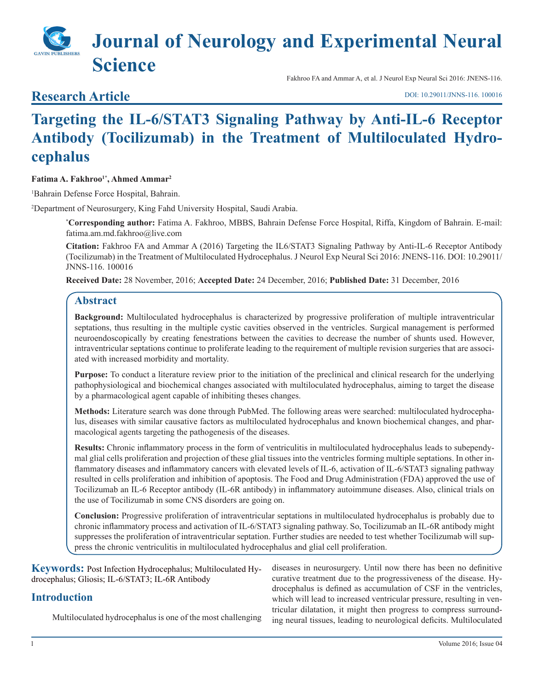# **Journal of Neurology and Experimental Neural Science**

# **Research Article**

Fakhroo FA and Ammar A, et al. J Neurol Exp Neural Sci 2016: JNENS-116.

[DOI: 10.29011/JNNS-116. 100016](http://doi.org/10.29011/JNNS-116. 100016)

# **Targeting the IL-6/STAT3 Signaling Pathway by Anti-IL-6 Receptor Antibody (Tocilizumab) in the Treatment of Multiloculated Hydrocephalus**

#### Fatima A. Fakhroo<sup>1\*</sup>, Ahmed Ammar<sup>2</sup>

1 Bahrain Defense Force Hospital, Bahrain.

2 Department of Neurosurgery, King Fahd University Hospital, Saudi Arabia.

**\* Corresponding author:** Fatima A. Fakhroo, MBBS, Bahrain Defense Force Hospital, Riffa, Kingdom of Bahrain. E-mail: fatima.am.md.fakhroo@live.com

**Citation:** Fakhroo FA and Ammar A (2016) Targeting the IL6/STAT3 Signaling Pathway by Anti-IL-6 Receptor Antibody (Tocilizumab) in the Treatment of Multiloculated Hydrocephalus. J Neurol Exp Neural Sci 2016: JNENS-116. DOI: 10.29011/ JNNS-116. 100016

**Received Date:** 28 November, 2016; **Accepted Date:** 24 December, 2016; **Published Date:** 31 December, 2016

## **Abstract**

**Background:** Multiloculated hydrocephalus is characterized by progressive proliferation of multiple intraventricular septations, thus resulting in the multiple cystic cavities observed in the ventricles. Surgical management is performed neuroendoscopically by creating fenestrations between the cavities to decrease the number of shunts used. However, intraventricular septations continue to proliferate leading to the requirement of multiple revision surgeries that are associated with increased morbidity and mortality.

**Purpose:** To conduct a literature review prior to the initiation of the preclinical and clinical research for the underlying pathophysiological and biochemical changes associated with multiloculated hydrocephalus, aiming to target the disease by a pharmacological agent capable of inhibiting theses changes.

**Methods:** Literature search was done through PubMed. The following areas were searched: multiloculated hydrocephalus, diseases with similar causative factors as multiloculated hydrocephalus and known biochemical changes, and pharmacological agents targeting the pathogenesis of the diseases.

**Results:** Chronic inflammatory process in the form of ventriculitis in multiloculated hydrocephalus leads to subependymal glial cells proliferation and projection of these glial tissues into the ventricles forming multiple septations. In other inflammatory diseases and inflammatory cancers with elevated levels of IL-6, activation of IL-6/STAT3 signaling pathway resulted in cells proliferation and inhibition of apoptosis. The Food and Drug Administration (FDA) approved the use of Tocilizumab an IL-6 Receptor antibody (IL-6R antibody) in inflammatory autoimmune diseases. Also, clinical trials on the use of Tocilizumab in some CNS disorders are going on.

**Conclusion:** Progressive proliferation of intraventricular septations in multiloculated hydrocephalus is probably due to chronic inflammatory process and activation of IL-6/STAT3 signaling pathway. So, Tocilizumab an IL-6R antibody might suppresses the proliferation of intraventricular septation. Further studies are needed to test whether Tocilizumab will suppress the chronic ventriculitis in multiloculated hydrocephalus and glial cell proliferation.

**Keywords:** Post Infection Hydrocephalus; Multiloculated Hydrocephalus; Gliosis; IL-6/STAT3; IL-6R Antibody **Introduction** Multiloculated hydrocephalus is one of the most challenging diseases in neurosurgery. Until now there has been no definitive curative treatment due to the progressiveness of the disease. Hydrocephalus is defined as accumulation of CSF in the ventricles, which will lead to increased ventricular pressure, resulting in ventricular dilatation, it might then progress to compress surrounding neural tissues, leading to neurological deficits. Multiloculated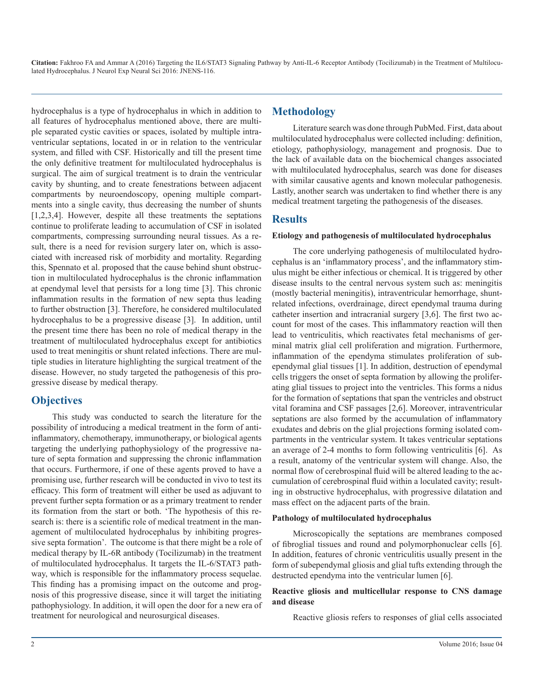hydrocephalus is a type of hydrocephalus in which in addition to all features of hydrocephalus mentioned above, there are multiple separated cystic cavities or spaces, isolated by multiple intraventricular septations, located in or in relation to the ventricular system, and filled with CSF. Historically and till the present time the only definitive treatment for multiloculated hydrocephalus is surgical. The aim of surgical treatment is to drain the ventricular cavity by shunting, and to create fenestrations between adjacent compartments by neuroendoscopy, opening multiple compartments into a single cavity, thus decreasing the number of shunts [1,2,3,4]. However, despite all these treatments the septations continue to proliferate leading to accumulation of CSF in isolated compartments, compressing surrounding neural tissues. As a result, there is a need for revision surgery later on, which is associated with increased risk of morbidity and mortality. Regarding this, Spennato et al. proposed that the cause behind shunt obstruction in multiloculated hydrocephalus is the chronic inflammation at ependymal level that persists for a long time [3]. This chronic inflammation results in the formation of new septa thus leading to further obstruction [3]. Therefore, he considered multiloculated hydrocephalus to be a progressive disease [3]. In addition, until the present time there has been no role of medical therapy in the treatment of multiloculated hydrocephalus except for antibiotics used to treat meningitis or shunt related infections. There are multiple studies in literature highlighting the surgical treatment of the disease. However, no study targeted the pathogenesis of this progressive disease by medical therapy.

### **Objectives**

This study was conducted to search the literature for the possibility of introducing a medical treatment in the form of antiinflammatory, chemotherapy, immunotherapy, or biological agents targeting the underlying pathophysiology of the progressive nature of septa formation and suppressing the chronic inflammation that occurs. Furthermore, if one of these agents proved to have a promising use, further research will be conducted in vivo to test its efficacy. This form of treatment will either be used as adjuvant to prevent further septa formation or as a primary treatment to render its formation from the start or both. 'The hypothesis of this research is: there is a scientific role of medical treatment in the management of multiloculated hydrocephalus by inhibiting progressive septa formation'. The outcome is that there might be a role of medical therapy by IL-6R antibody (Tocilizumab) in the treatment of multiloculated hydrocephalus. It targets the IL-6/STAT3 pathway, which is responsible for the inflammatory process sequelae. This finding has a promising impact on the outcome and prognosis of this progressive disease, since it will target the initiating pathophysiology. In addition, it will open the door for a new era of treatment for neurological and neurosurgical diseases.

# **Methodology**

Literature search was done through PubMed. First, data about multiloculated hydrocephalus were collected including: definition, etiology, pathophysiology, management and prognosis. Due to the lack of available data on the biochemical changes associated with multiloculated hydrocephalus, search was done for diseases with similar causative agents and known molecular pathogenesis. Lastly, another search was undertaken to find whether there is any medical treatment targeting the pathogenesis of the diseases.

# **Results**

#### **Etiology and pathogenesis of multiloculated hydrocephalus**

The core underlying pathogenesis of multiloculated hydrocephalus is an 'inflammatory process', and the inflammatory stimulus might be either infectious or chemical. It is triggered by other disease insults to the central nervous system such as: meningitis (mostly bacterial meningitis), intraventricular hemorrhage, shuntrelated infections, overdrainage, direct ependymal trauma during catheter insertion and intracranial surgery [3,6]. The first two account for most of the cases. This inflammatory reaction will then lead to ventriculitis, which reactivates fetal mechanisms of germinal matrix glial cell proliferation and migration. Furthermore, inflammation of the ependyma stimulates proliferation of subependymal glial tissues [1]. In addition, destruction of ependymal cells triggers the onset of septa formation by allowing the proliferating glial tissues to project into the ventricles. This forms a nidus for the formation of septations that span the ventricles and obstruct vital foramina and CSF passages [2,6]. Moreover, intraventricular septations are also formed by the accumulation of inflammatory exudates and debris on the glial projections forming isolated compartments in the ventricular system. It takes ventricular septations an average of 2-4 months to form following ventriculitis [6]. As a result, anatomy of the ventricular system will change. Also, the normal flow of cerebrospinal fluid will be altered leading to the accumulation of cerebrospinal fluid within a loculated cavity; resulting in obstructive hydrocephalus, with progressive dilatation and mass effect on the adjacent parts of the brain.

#### **Pathology of multiloculated hydrocephalus**

Microscopically the septations are membranes composed of fibroglial tissues and round and polymorphonuclear cells [6]. In addition, features of chronic ventriculitis usually present in the form of subependymal gliosis and glial tufts extending through the destructed ependyma into the ventricular lumen [6].

#### **Reactive gliosis and multicellular response to CNS damage and disease**

Reactive gliosis refers to responses of glial cells associated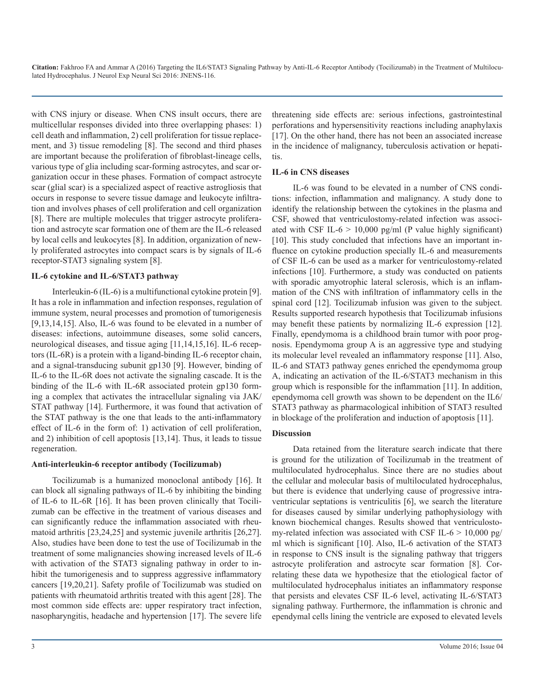with CNS injury or disease. When CNS insult occurs, there are multicellular responses divided into three overlapping phases: 1) cell death and inflammation, 2) cell proliferation for tissue replacement, and 3) tissue remodeling [8]. The second and third phases are important because the proliferation of fibroblast-lineage cells, various type of glia including scar-forming astrocytes, and scar organization occur in these phases. Formation of compact astrocyte scar (glial scar) is a specialized aspect of reactive astrogliosis that occurs in response to severe tissue damage and leukocyte infiltration and involves phases of cell proliferation and cell organization [8]. There are multiple molecules that trigger astrocyte proliferation and astrocyte scar formation one of them are the IL-6 released by local cells and leukocytes [8]. In addition, organization of newly proliferated astrocytes into compact scars is by signals of IL-6 receptor-STAT3 signaling system [8].

#### **IL-6 cytokine and IL-6/STAT3 pathway**

Interleukin-6 (IL-6) is a multifunctional cytokine protein [9]. It has a role in inflammation and infection responses, regulation of immune system, neural processes and promotion of tumorigenesis [9,13,14,15]. Also, IL-6 was found to be elevated in a number of diseases: infections, autoimmune diseases, some solid cancers, neurological diseases, and tissue aging [11,14,15,16]. IL-6 receptors (IL-6R) is a protein with a ligand-binding IL-6 receptor chain, and a signal-transducing subunit gp130 [9]. However, binding of IL-6 to the IL-6R does not activate the signaling cascade. It is the binding of the IL-6 with IL-6R associated protein gp130 forming a complex that activates the intracellular signaling via JAK/ STAT pathway [14]. Furthermore, it was found that activation of the STAT pathway is the one that leads to the anti-inflammatory effect of IL-6 in the form of: 1) activation of cell proliferation, and 2) inhibition of cell apoptosis [13,14]. Thus, it leads to tissue regeneration.

#### **Anti-interleukin-6 receptor antibody (Tocilizumab)**

Tocilizumab is a humanized monoclonal antibody [16]. It can block all signaling pathways of IL-6 by inhibiting the binding of IL-6 to IL-6R [16]. It has been proven clinically that Tocilizumab can be effective in the treatment of various diseases and can significantly reduce the inflammation associated with rheumatoid arthritis [23,24,25] and systemic juvenile arthritis [26,27]. Also, studies have been done to test the use of Tocilizumab in the treatment of some malignancies showing increased levels of IL-6 with activation of the STAT3 signaling pathway in order to inhibit the tumorigenesis and to suppress aggressive inflammatory cancers [19,20,21]. Safety profile of Tocilizumab was studied on patients with rheumatoid arthritis treated with this agent [28]. The most common side effects are: upper respiratory tract infection, nasopharyngitis, headache and hypertension [17]. The severe life

threatening side effects are: serious infections, gastrointestinal perforations and hypersensitivity reactions including anaphylaxis [17]. On the other hand, there has not been an associated increase in the incidence of malignancy, tuberculosis activation or hepatitis.

#### **IL-6 in CNS diseases**

IL-6 was found to be elevated in a number of CNS conditions: infection, inflammation and malignancy. A study done to identify the relationship between the cytokines in the plasma and CSF, showed that ventriculostomy-related infection was associated with CSF IL-6  $> 10,000$  pg/ml (P value highly significant) [10]. This study concluded that infections have an important influence on cytokine production specially IL-6 and measurements of CSF IL-6 can be used as a marker for ventriculostomy-related infections [10]. Furthermore, a study was conducted on patients with sporadic amyotrophic lateral sclerosis, which is an inflammation of the CNS with infiltration of inflammatory cells in the spinal cord [12]. Tocilizumab infusion was given to the subject. Results supported research hypothesis that Tocilizumab infusions may benefit these patients by normalizing IL-6 expression [12]. Finally, ependymoma is a childhood brain tumor with poor prognosis. Ependymoma group A is an aggressive type and studying its molecular level revealed an inflammatory response [11]. Also, IL-6 and STAT3 pathway genes enriched the ependymoma group A, indicating an activation of the IL-6/STAT3 mechanism in this group which is responsible for the inflammation [11]. In addition, ependymoma cell growth was shown to be dependent on the IL6/ STAT3 pathway as pharmacological inhibition of STAT3 resulted in blockage of the proliferation and induction of apoptosis [11].

#### **Discussion**

Data retained from the literature search indicate that there is ground for the utilization of Tocilizumab in the treatment of multiloculated hydrocephalus. Since there are no studies about the cellular and molecular basis of multiloculated hydrocephalus, but there is evidence that underlying cause of progressive intraventricular septations is ventriculitis [6], we search the literature for diseases caused by similar underlying pathophysiology with known biochemical changes. Results showed that ventriculostomy-related infection was associated with CSF IL-6  $> 10,000$  pg/ ml which is significant [10]. Also, IL-6 activation of the STAT3 in response to CNS insult is the signaling pathway that triggers astrocyte proliferation and astrocyte scar formation [8]. Correlating these data we hypothesize that the etiological factor of multiloculated hydrocephalus initiates an inflammatory response that persists and elevates CSF IL-6 level, activating IL-6/STAT3 signaling pathway. Furthermore, the inflammation is chronic and ependymal cells lining the ventricle are exposed to elevated levels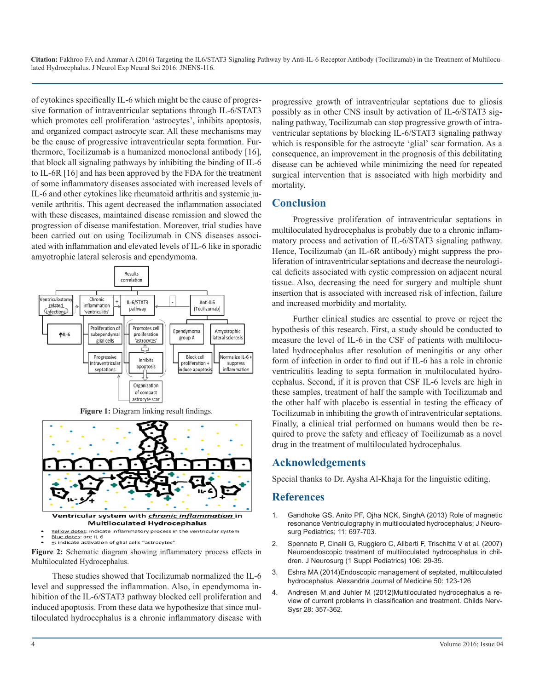of cytokines specifically IL-6 which might be the cause of progressive formation of intraventricular septations through IL-6/STAT3 which promotes cell proliferation 'astrocytes', inhibits apoptosis, and organized compact astrocyte scar. All these mechanisms may be the cause of progressive intraventricular septa formation. Furthermore, Tocilizumab is a humanized monoclonal antibody [16], that block all signaling pathways by inhibiting the binding of IL-6 to IL-6R [16] and has been approved by the FDA for the treatment of some inflammatory diseases associated with increased levels of IL-6 and other cytokines like rheumatoid arthritis and systemic juvenile arthritis. This agent decreased the inflammation associated with these diseases, maintained disease remission and slowed the progression of disease manifestation. Moreover, trial studies have been carried out on using Tocilizumab in CNS diseases associated with inflammation and elevated levels of IL-6 like in sporadic amyotrophic lateral sclerosis and ependymoma.



**Figure 1:** Diagram linking result findings.



Blue dotes: are IL-6 : indicate activation of glial cells "astrocytes"

**Figure 2:** Schematic diagram showing inflammatory process effects in Multiloculated Hydrocephalus.

These studies showed that Tocilizumab normalized the IL-6 level and suppressed the inflammation. Also, in ependymoma inhibition of the IL-6/STAT3 pathway blocked cell proliferation and induced apoptosis. From these data we hypothesize that since multiloculated hydrocephalus is a chronic inflammatory disease with progressive growth of intraventricular septations due to gliosis possibly as in other CNS insult by activation of IL-6/STAT3 signaling pathway, Tocilizumab can stop progressive growth of intraventricular septations by blocking IL-6/STAT3 signaling pathway which is responsible for the astrocyte 'glial' scar formation. As a consequence, an improvement in the prognosis of this debilitating disease can be achieved while minimizing the need for repeated surgical intervention that is associated with high morbidity and mortality.

#### **Conclusion**

Progressive proliferation of intraventricular septations in multiloculated hydrocephalus is probably due to a chronic inflammatory process and activation of IL-6/STAT3 signaling pathway. Hence, Tocilizumab (an IL-6R antibody) might suppress the proliferation of intraventricular septations and decrease the neurological deficits associated with cystic compression on adjacent neural tissue. Also, decreasing the need for surgery and multiple shunt insertion that is associated with increased risk of infection, failure and increased morbidity and mortality.

Further clinical studies are essential to prove or reject the hypothesis of this research. First, a study should be conducted to measure the level of IL-6 in the CSF of patients with multiloculated hydrocephalus after resolution of meningitis or any other form of infection in order to find out if IL-6 has a role in chronic ventriculitis leading to septa formation in multiloculated hydrocephalus. Second, if it is proven that CSF IL-6 levels are high in these samples, treatment of half the sample with Tocilizumab and the other half with placebo is essential in testing the efficacy of Tocilizumab in inhibiting the growth of intraventricular septations. Finally, a clinical trial performed on humans would then be required to prove the safety and efficacy of Tocilizumab as a novel drug in the treatment of multiloculated hydrocephalus.

#### **Acknowledgements**

Special thanks to Dr. Aysha Al-Khaja for the linguistic editing.

#### **References**

- 1. Gandhoke GS, Anito PF, Ojha NCK, SinghA (2013) Role of magnetic resonance Ventriculography in multiloculated hydrocephalus; J Neurosurg Pediatrics; 11: 697-703.
- 2. [Spennato P, Cinalli G, Ruggiero C, Aliberti F, Trischitta V et al. \(2007\)](http://thejns.org/doi/abs/10.3171/ped.2007.106.1.29)  Neuroendoscopic treatment of multiloculated hydrocephalus in chil[dren. J Neurosurg \(1 Suppl Pediatrics\) 106: 29-35.](http://thejns.org/doi/abs/10.3171/ped.2007.106.1.29)
- 3. Eshra MA (2014)Endoscopic management of septated, multiloculated hydrocephalus. Alexandria Journal of Medicine 50: 123-126
- 4. [Andresen M and Juhler M \(2012\)Multiloculated hydrocephalus a re](http://link.springer.com/article/10.1007/s00381-012-1702-3)view of current problems in classification and treatment. Childs Nerv-[Sysr 28: 357-362.](http://link.springer.com/article/10.1007/s00381-012-1702-3)